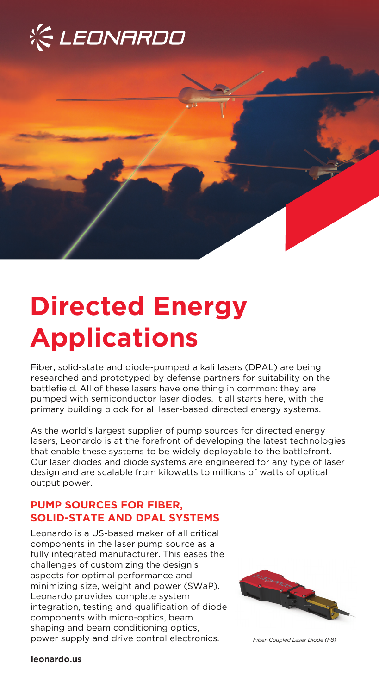



# **Directed Energy Applications**

Fiber, solid-state and diode-pumped alkali lasers (DPAL) are being researched and prototyped by defense partners for suitability on the battlefield. All of these lasers have one thing in common: they are pumped with semiconductor laser diodes. It all starts here, with the primary building block for all laser-based directed energy systems.

As the world's largest supplier of pump sources for directed energy lasers, Leonardo is at the forefront of developing the latest technologies that enable these systems to be widely deployable to the battlefront. Our laser diodes and diode systems are engineered for any type of laser design and are scalable from kilowatts to millions of watts of optical output power.

## **PUMP SOURCES FOR FIBER, SOLID-STATE AND DPAL SYSTEMS**

Leonardo is a US-based maker of all critical components in the laser pump source as a fully integrated manufacturer. This eases the challenges of customizing the design's aspects for optimal performance and minimizing size, weight and power (SWaP). Leonardo provides complete system integration, testing and qualification of diode components with micro-optics, beam shaping and beam conditioning optics, power supply and drive control electronics. *Fiber-Coupled Laser Diode (F8)*



**leonardo.us**